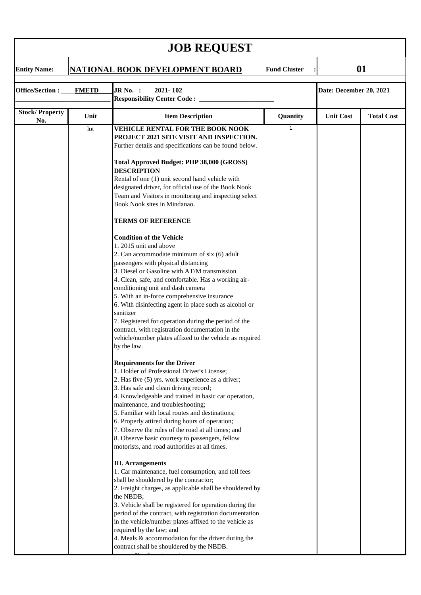| <b>JOB REQUEST</b>              |      |                                                                                                                                                                                                                                                                                                                                                                                                                                                                                                                                                                                                                                                                                                                                                                                                                                                                                                                                                                                                                                                                                                                                                                                                                                                                                                                                                                                                                                                                                                                                                                                                                                                                                                                                                                                                                                                                                                                                                                                                                                                                                    |                     |                         |                   |  |  |  |  |
|---------------------------------|------|------------------------------------------------------------------------------------------------------------------------------------------------------------------------------------------------------------------------------------------------------------------------------------------------------------------------------------------------------------------------------------------------------------------------------------------------------------------------------------------------------------------------------------------------------------------------------------------------------------------------------------------------------------------------------------------------------------------------------------------------------------------------------------------------------------------------------------------------------------------------------------------------------------------------------------------------------------------------------------------------------------------------------------------------------------------------------------------------------------------------------------------------------------------------------------------------------------------------------------------------------------------------------------------------------------------------------------------------------------------------------------------------------------------------------------------------------------------------------------------------------------------------------------------------------------------------------------------------------------------------------------------------------------------------------------------------------------------------------------------------------------------------------------------------------------------------------------------------------------------------------------------------------------------------------------------------------------------------------------------------------------------------------------------------------------------------------------|---------------------|-------------------------|-------------------|--|--|--|--|
| <b>Entity Name:</b>             |      | <b>NATIONAL BOOK DEVELOPMENT BOARD</b>                                                                                                                                                                                                                                                                                                                                                                                                                                                                                                                                                                                                                                                                                                                                                                                                                                                                                                                                                                                                                                                                                                                                                                                                                                                                                                                                                                                                                                                                                                                                                                                                                                                                                                                                                                                                                                                                                                                                                                                                                                             | <b>Fund Cluster</b> | 01                      |                   |  |  |  |  |
| Office/Section:<br><b>FMETD</b> |      | JR No. :<br>2021-102<br><b>Responsibility Center Code:</b> ___                                                                                                                                                                                                                                                                                                                                                                                                                                                                                                                                                                                                                                                                                                                                                                                                                                                                                                                                                                                                                                                                                                                                                                                                                                                                                                                                                                                                                                                                                                                                                                                                                                                                                                                                                                                                                                                                                                                                                                                                                     |                     | Date: December 20, 2021 |                   |  |  |  |  |
| <b>Stock/Property</b>           | Unit | <b>Item Description</b>                                                                                                                                                                                                                                                                                                                                                                                                                                                                                                                                                                                                                                                                                                                                                                                                                                                                                                                                                                                                                                                                                                                                                                                                                                                                                                                                                                                                                                                                                                                                                                                                                                                                                                                                                                                                                                                                                                                                                                                                                                                            | Quantity            | <b>Unit Cost</b>        | <b>Total Cost</b> |  |  |  |  |
| No.                             | lot  | <b>VEHICLE RENTAL FOR THE BOOK NOOK</b><br>PROJECT 2021 SITE VISIT AND INSPECTION.<br>Further details and specifications can be found below.<br>Total Approved Budget: PHP 38,000 (GROSS)<br><b>DESCRIPTION</b><br>Rental of one (1) unit second hand vehicle with<br>designated driver, for official use of the Book Nook<br>Team and Visitors in monitoring and inspecting select<br>Book Nook sites in Mindanao.<br><b>TERMS OF REFERENCE</b><br><b>Condition of the Vehicle</b><br>1.2015 unit and above<br>2. Can accommodate minimum of six (6) adult<br>passengers with physical distancing<br>3. Diesel or Gasoline with AT/M transmission<br>4. Clean, safe, and comfortable. Has a working air-<br>conditioning unit and dash camera<br>5. With an in-force comprehensive insurance<br>6. With disinfecting agent in place such as alcohol or<br>sanitizer<br>7. Registered for operation during the period of the<br>contract, with registration documentation in the<br>vehicle/number plates affixed to the vehicle as required<br>by the law.<br><b>Requirements for the Driver</b><br>1. Holder of Professional Driver's License;<br>2. Has five (5) yrs. work experience as a driver;<br>3. Has safe and clean driving record;<br>4. Knowledgeable and trained in basic car operation,<br>maintenance, and troubleshooting;<br>5. Familiar with local routes and destinations;<br>6. Properly attired during hours of operation;<br>7. Observe the rules of the road at all times; and<br>8. Observe basic courtesy to passengers, fellow<br>motorists, and road authorities at all times.<br><b>III.</b> Arrangements<br>1. Car maintenance, fuel consumption, and toll fees<br>shall be shouldered by the contractor;<br>2. Freight charges, as applicable shall be shouldered by<br>the NBDB;<br>3. Vehicle shall be registered for operation during the<br>period of the contract, with registration documentation<br>in the vehicle/number plates affixed to the vehicle as<br>required by the law; and<br>4. Meals & accommodation for the driver during the | 1                   |                         |                   |  |  |  |  |